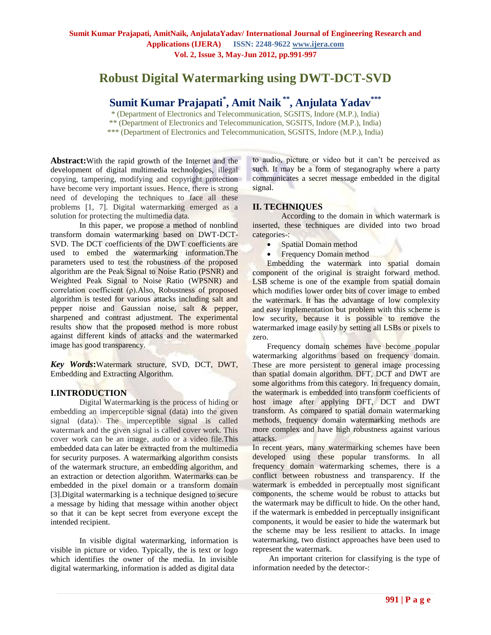# **Robust Digital Watermarking using DWT-DCT-SVD**

# **Sumit Kumar Prajapati\* , Amit Naik\*\*, Anjulata Yadav\*\*\***

\* (Department of Electronics and Telecommunication, SGSITS, Indore (M.P.), India) \*\* (Department of Electronics and Telecommunication, SGSITS, Indore (M.P.), India)

\*\*\* (Department of Electronics and Telecommunication, SGSITS, Indore (M.P.), India)

**Abstract:**With the rapid growth of the Internet and the development of digital multimedia technologies, illegal copying, tampering, modifying and copyright protection have become very important issues. Hence, there is strong need of developing the techniques to face all these problems [1, 7]. Digital watermarking emerged as a solution for protecting the multimedia data.

In this paper, we propose a method of nonblind transform domain watermarking based on DWT-DCT-SVD. The DCT coefficients of the DWT coefficients are used to embed the watermarking information.The parameters used to test the robustness of the proposed algorithm are the Peak Signal to Noise Ratio (PSNR) and Weighted Peak Signal to Noise Ratio (WPSNR) and correlation coefficient (ρ).Also, Robustness of proposed algorithm is tested for various attacks including salt and pepper noise and Gaussian noise, salt & pepper, sharpened and contrast adjustment. The experimental results show that the proposed method is more robust against different kinds of attacks and the watermarked image has good transparency.

*Key Words***:**Watermark structure, SVD, DCT, DWT, Embedding and Extracting Algorithm.

# **I.INTRODUCTION**

Digital Watermarking is the process of hiding or embedding an imperceptible signal (data) into the given signal (data). The imperceptible signal is called watermark and the given signal is called cover work. This cover work can be an image, audio or a video file.This embedded data can later be extracted from the multimedia for security purposes. A watermarking algorithm consists of the watermark structure, an embedding algorithm, and an extraction or detection algorithm. Watermarks can be embedded in the pixel domain or a transform domain [3].Digital watermarking is a technique designed to secure a message by hiding that message within another object so that it can be kept secret from everyone except the intended recipient.

In visible digital watermarking, information is visible in picture or video. Typically, the is text or logo which identifies the owner of the media. In invisible digital watermarking, information is added as digital data

to audio, picture or video but it can"t be perceived as such. It may be a form of steganography where a party communicates a secret message embedded in the digital signal.

# **II. TECHNIQUES**

According to the domain in which watermark is inserted, these techniques are divided into two broad categories-:

- Spatial Domain method
- Frequency Domain method

Embedding the watermark into spatial domain component of the original is straight forward method. LSB scheme is one of the example from spatial domain which modifies lower order bits of cover image to embed the watermark. It has the advantage of low complexity and easy implementation but problem with this scheme is low security, because it is possible to remove the watermarked image easily by setting all LSBs or pixels to zero.

Frequency domain schemes have become popular watermarking algorithms based on frequency domain. These are more persistent to general image processing than spatial domain algorithm. DFT, DCT and DWT are some algorithms from this category. In frequency domain, the watermark is embedded into transform coefficients of host image after applying DFT, DCT and DWT transform. As compared to spatial domain watermarking methods, frequency domain watermarking methods are more complex and have high robustness against various attacks.

In recent years, many watermarking schemes have been developed using these popular transforms. In all frequency domain watermarking schemes, there is a conflict between robustness and transparency. If the watermark is embedded in perceptually most significant components, the scheme would be robust to attacks but the watermark may be difficult to hide. On the other hand, if the watermark is embedded in perceptually insignificant components, it would be easier to hide the watermark but the scheme may be less resilient to attacks. In image watermarking, two distinct approaches have been used to represent the watermark.

An important criterion for classifying is the type of information needed by the detector-: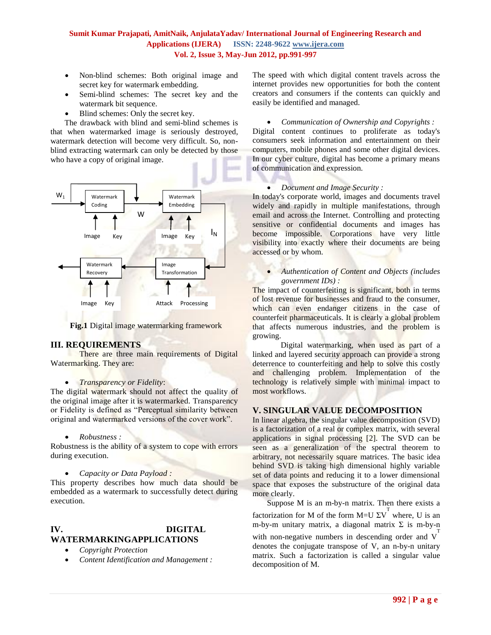- Non-blind schemes: Both original image and secret key for watermark embedding.
- Semi-blind schemes: The secret key and the watermark bit sequence.
- Blind schemes: Only the secret key.

 The drawback with blind and semi-blind schemes is that when watermarked image is seriously destroyed, watermark detection will become very difficult. So, nonblind extracting watermark can only be detected by those who have a copy of original image.



**Fig.1** Digital image watermarking framework

#### **III. REQUIREMENTS**

There are three main requirements of Digital Watermarking. They are:

#### *Transparency or Fidelity*:

The digital watermark should not affect the quality of the original image after it is watermarked. Transparency or Fidelity is defined as "Perceptual similarity between original and watermarked versions of the cover work".

#### *Robustness :*

Robustness is the ability of a system to cope with errors during execution.

*Capacity or Data Payload :* 

This property describes how much data should be embedded as a watermark to successfully detect during execution.

#### **IV. DIGITAL WATERMARKINGAPPLICATIONS**

- *Copyright Protection*
- *Content Identification and Management :*

The speed with which digital content travels across the internet provides new opportunities for both the content creators and consumers if the contents can quickly and easily be identified and managed.

#### *[Communication of Ownership and Copyrights](http://www.digitalwatermarkingalliance.org/app_comm.asp) :*

Digital content continues to proliferate as today's consumers seek information and entertainment on their computers, mobile phones and some other digital devices. In our cyber culture, digital has become a primary means of communication and expression.

#### *[Document and Image Security](http://www.digitalwatermarkingalliance.org/app_docimage.asp) :*

In today's corporate world, images and documents travel widely and rapidly in multiple manifestations, through email and across the Internet. Controlling and protecting sensitive or confidential documents and images has become impossible. Corporations have very little visibility into exactly where their documents are being accessed or by whom.

 *[Authentication of Content and Objects \(includes](http://www.digitalwatermarkingalliance.org/app_auth.asp)  [government IDs\)](http://www.digitalwatermarkingalliance.org/app_auth.asp) :*

The impact of counterfeiting is significant, both in terms of lost revenue for businesses and fraud to the consumer, which can even endanger citizens in the case of counterfeit pharmaceuticals. It is clearly a global problem that affects numerous industries, and the problem is growing.

 Digital watermarking, when used as part of a linked and layered security approach can provide a strong deterrence to counterfeiting and help to solve this costly and challenging problem. Implementation of the technology is relatively simple with minimal impact to most workflows.

# **V. SINGULAR VALUE DECOMPOSITION**

In linear algebra, the singular value decomposition (SVD) is a factorization of a real or complex matrix, with several applications in signal processing [2]. The SVD can be seen as a generalization of the spectral theorem to arbitrary, not necessarily square matrices. The basic idea behind SVD is taking high dimensional highly variable set of data points and reducing it to a lower dimensional space that exposes the substructure of the original data more clearly.

Suppose M is an m-by-n matrix. Then there exists a factorization for M of the form M=U  $\Sigma V^T$  where, U is an m-by-m unitary matrix, a diagonal matrix Σ is m-by-n with non-negative numbers in descending order and  $V<sup>T</sup>$ denotes the conjugate transpose of V, an n-by-n unitary matrix. Such a factorization is called a singular value decomposition of M.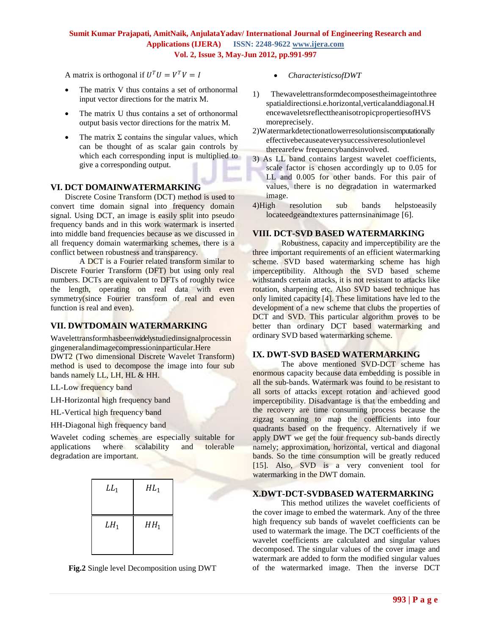A matrix is orthogonal if  $U^T U = V^T V = I$ 

- The matrix V thus contains a set of orthonormal input vector directions for the matrix M.
- The matrix U thus contains a set of orthonormal output basis vector directions for the matrix M.
- The matrix  $\Sigma$  contains the singular values, which can be thought of as scalar gain controls by which each corresponding input is multiplied to give a corresponding output.

## **VI. DCT DOMAINWATERMARKING**

Discrete Cosine Transform (DCT) method is used to convert time domain signal into frequency domain signal. Using DCT, an image is easily split into pseudo frequency bands and in this work watermark is inserted into middle band frequencies because as we discussed in all frequency domain watermarking schemes, there is a conflict between robustness and transparency.

A DCT is a Fourier related transform similar to Discrete Fourier Transform (DFT) but using only real numbers. DCTs are equivalent to DFTs of roughly twice the length, operating on real data with even symmetry(since Fourier transform of real and even function is real and even).

#### **VII. DWTDOMAIN WATERMARKING**

Wavelettransformhasbeenwidelystudiedinsignalprocessin gingeneralandimagecompressioninparticular.Here DWT2 (Two dimensional Discrete Wavelet Transform) method is used to decompose the image into four sub bands namely LL, LH, HL & HH.

LL-Low frequency band

- LH-Horizontal high frequency band
- HL-Vertical high frequency band
- HH-Diagonal high frequency band

Wavelet coding schemes are especially suitable for applications where scalability and tolerable degradation are important.

| $LL_1$ | $HL_1$ |
|--------|--------|
|        |        |
| $LH_1$ | $HH_1$ |
|        |        |

**Fig.2** Single level Decomposition using DWT

- *CharacteristicsofDWT*
- 1) Thewavelettransformdecomposestheimageintothree spatialdirectionsi.e.horizontal,verticalanddiagonal.H encewaveletsreflecttheanisotropicpropertiesofHVS moreprecisely.
- 2)Watermarkdetectionatlowerresolutionsiscomputationally effectivebecauseateverysuccessiveresolutionlevel therearefew frequencybandsinvolved.
- 3) As LL band contains largest wavelet coefficients, scale factor is chosen accordingly up to 0.05 for LL and 0.005 for other bands. For this pair of values, there is no degradation in watermarked image.
- 4)High resolution sub bands helpstoeasily locateedgeandtextures patternsinanimage [6].

## **VIII. DCT-SVD BASED WATERMARKING**

Robustness, capacity and imperceptibility are the three important requirements of an efficient watermarking scheme. SVD based watermarking scheme has high imperceptibility. Although the SVD based scheme withstands certain attacks, it is not resistant to attacks like rotation, sharpening etc. Also SVD based technique has only limited capacity [4]. These limitations have led to the development of a new scheme that clubs the properties of DCT and SVD. This particular algorithm proves to be better than ordinary DCT based watermarking and ordinary SVD based watermarking scheme.

# **IX. DWT-SVD BASED WATERMARKING**

The above mentioned SVD-DCT scheme has enormous capacity because data embedding is possible in all the sub-bands. Watermark was found to be resistant to all sorts of attacks except rotation and achieved good imperceptibility. Disadvantage is that the embedding and the recovery are time consuming process because the zigzag scanning to map the coefficients into four quadrants based on the frequency. Alternatively if we apply DWT we get the four frequency sub-bands directly namely; approximation, horizontal, vertical and diagonal bands. So the time consumption will be greatly reduced [15]. Also, SVD is a very convenient tool for watermarking in the DWT domain.

### **X.DWT-DCT-SVDBASED WATERMARKING**

This method utilizes the wavelet coefficients of the cover image to embed the watermark. Any of the three high frequency sub bands of wavelet coefficients can be used to watermark the image. The DCT coefficients of the wavelet coefficients are calculated and singular values decomposed. The singular values of the cover image and watermark are added to form the modified singular values of the watermarked image. Then the inverse DCT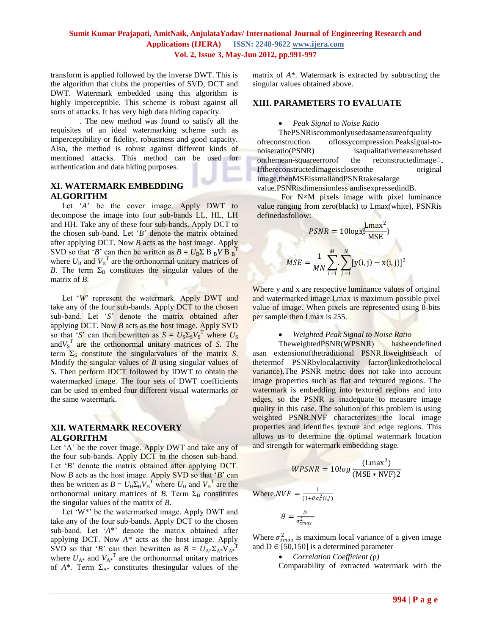transform is applied followed by the inverse DWT. This is the algorithm that clubs the properties of SVD, DCT and DWT. Watermark embedded using this algorithm is highly imperceptible. This scheme is robust against all sorts of attacks. It has very high data hiding capacity.

. The new method was found to satisfy all the requisites of an ideal watermarking scheme such as imperceptibility or fidelity, robustness and good capacity. Also, the method is robust against different kinds of mentioned attacks. This method can be used for authentication and data hiding purposes.

# **XI. WATERMARK EMBEDDING ALGORITHM**

Let 'A' be the cover image. Apply DWT to decompose the image into four sub-bands LL, HL, LH and HH. Take any of these four sub-bands. Apply DCT to the chosen sub-band. Let "*B*" denote the matrix obtained after applying DCT. Now *B* acts as the host image. Apply SVD so that '*B*' can then be written as  $B = U_B \Sigma B_B V B_B^T$ where  $U_{\text{B}}$  and  $V_{\text{B}}^{\text{T}}$  are the orthonormal unitary matrices of *B*. The term  $\Sigma_B$  constitutes the singular values of the matrix of *B*.

Let 'W' represent the watermark. Apply DWT and take any of the four sub-bands. Apply DCT to the chosen sub-band. Let "*S*" denote the matrix obtained after applying DCT. Now *B* acts as the host image. Apply SVD so that '*S*' can then bewritten as  $S = U_S \Sigma_S V_S^T$  where  $U_S$ and $V_S^T$  are the orthonormal unitary matrices of *S*. The term  $\Sigma_s$  constitute the singular values of the matrix *S*. Modify the singular values of *B* using singular values of *S*. Then perform IDCT followed by IDWT to obtain the watermarked image. The four sets of DWT coefficients can be used to embed four different visual watermarks or the same watermark.

# **XII. WATERMARK RECOVERY ALGORITHM**

Let 'A' be the cover image. Apply DWT and take any of the four sub-bands. Apply DCT to the chosen sub-band. Let '*B*' denote the matrix obtained after applying DCT. Now *B* acts as the host image. Apply SVD so that "*B*" can then be written as  $B = U_B \Sigma_B V_B^T$  where  $U_B$  and  $V_B^T$  are the orthonormal unitary matrices of  $B$ . Term  $\Sigma_B$  constitutes the singular values of the matrix of *B*.

Let 'W<sup>\*</sup>' be the watermarked image. Apply DWT and take any of the four sub-bands. Apply DCT to the chosen sub-band. Let "*A*\*" denote the matrix obtained after applying DCT. Now *A*\* acts as the host image. Apply SVD so that '*B*' can then bewritten as  $B = U_{A^*} \Sigma_{A^*} V_{A^*}^T$ where  $U_{A^*}$  and  $V_{A^*}$ <sup>T</sup> are the orthonormal unitary matrices of  $A^*$ . Term  $\Sigma_{A^*}$  constitutes the singular values of the

matrix of *A*\*. Watermark is extracted by subtracting the singular values obtained above.

### **XIII. PARAMETERS TO EVALUATE**

#### *Peak Signal to Noise Ratio*

ThePSNRiscommonlyusedasameasureofquality ofreconstruction oflossycompression.Peaksignal-tonoiseratio(PSNR) isaqualitativemeasurebased onthemean-squareerrorof the reconstructedimage. Ifthereconstructedimageisclosetothe original image,thenMSEissmallandPSNRtakesalarge

value.PSNRisdimensionless andisexpressedindB.

For N×M pixels image with pixel luminance value ranging from zero(black) to Lmax(white), PSNRis definedasfollow:

$$
PSNR = 10\log[\underbrace{\text{Lmax}^2}_{\text{MSE}})
$$
\n
$$
MSE = \frac{1}{MN} \sum_{i=1}^{M} \sum_{j=1}^{N} [y(i,j) - x(i,j)]^2
$$

Where y and x are respective luminance values of original and watermarked image.Lmax is maximum possible pixel value of image. When pixels are represented using 8-bits per sample then Lmax is 255.

#### *Weighted Peak Signal to Noise Ratio*

TheweightedPSNR(WPSNR) hasbeendefined asan extensionofthetraditional PSNR.Itweightseach of thetermof PSNRbylocalactivity factor(linkedtothelocal variance).The PSNR metric does not take into account image properties such as flat and textured regions. The watermark is embedding into textured regions and into edges, so the PSNR is inadequate to measure image quality in this case. The solution of this problem is using weighted PSNR.NVF characterizes the local image properties and identifies texture and edge regions. This allows us to determine the optimal watermark location and strength for watermark embedding stage.

$$
WPSNR = 10log \frac{(\text{Lmax}^2)}{(\text{MSE} * \text{NVF})2}
$$

Where,  $NVF = \frac{1}{(1+0.7)}$  $(1+\theta \sigma_x^2(i,j))$ 

> $\theta=\frac{D}{a^2}$  $\sigma_{xmax}^2$

Where  $\sigma_{xmax}^2$  is maximum local variance of a given image and  $D \in [50, 150]$  is a determined parameter

*Correlation Coefficient (*ρ*)*

Comparability of extracted watermark with the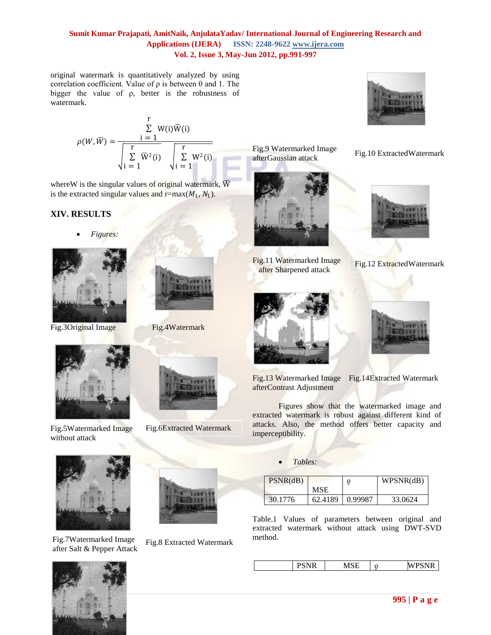original watermark is quantitatively analyzed by using correlation coefficient. Value of ρ is between 0 and 1. The bigger the value of ρ, better is the robustness of watermark.

$$
\rho(W,\overline{W}) = \frac{\sum_{i=1}^{r} W(i)\overline{W}(i)}{\sqrt{\sum_{i=1}^{r} \overline{W}^{2}(i)} \sqrt{\sum_{i=1}^{r} \frac{W^{2}(i)}{1}}}
$$

where W is the singular values of original watermark,  $\overline{W}$ is the extracted singular values and  $r = max(M_1, N_1)$ .

# **XIV. RESULTS**

*Figures:*





Fig.3Original Image Fig.4Watermark



Fig.5Watermarked Image without attack



Fig.7Watermarked Image after Salt & Pepper Attack



Fig.6Extracted Watermark

Fig.8 Extracted Watermark



Fig.9 Watermarked Image afterGaussian attack



Fig.11 Watermarked Image after Sharpened attack





Fig.10 ExtractedWatermark

Fig.12 ExtractedWatermark



Fig.13 Watermarked Image Fig.14Extracted Watermark afterContrast Adjustment

Figures show that the watermarked image and extracted watermark is robust against different kind of attacks. Also, the method offers better capacity and imperceptibility.

*Tables:*

| PSNR(dB) |            |         | WPSNR(dB) |
|----------|------------|---------|-----------|
|          | <b>MSE</b> |         |           |
| 30.1776  | 62.4189    | 0.99987 | 33.0624   |

Table.1 Values of parameters between original and extracted watermark without attack using DWT-SVD method.

| <br>,,, | 11101 |  | $\sim$ and $\sim$<br>w |
|---------|-------|--|------------------------|
|---------|-------|--|------------------------|





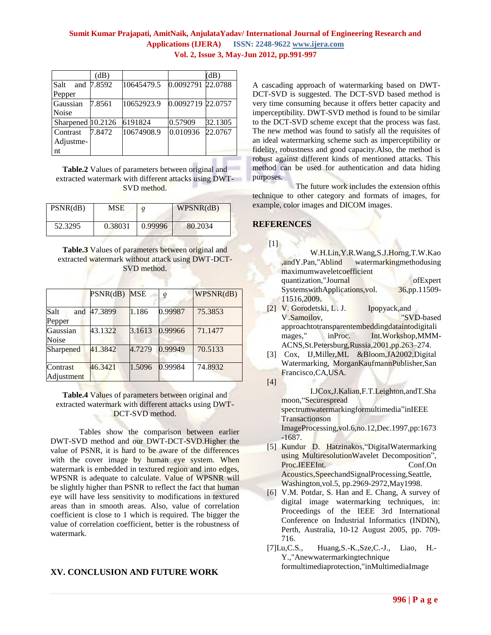|                   | (dB)   |            |                   | (dB)    |
|-------------------|--------|------------|-------------------|---------|
| Salt<br>and       | 7.8592 | 10645479.5 | 0.0092791 22.0788 |         |
| Pepper            |        |            |                   |         |
| Gaussian          | 7.8561 | 10652923.9 | 0.0092719 22.0757 |         |
| <b>Noise</b>      |        |            |                   |         |
| Sharpened 10.2126 |        | 6191824    | 0.57909           | 32.1305 |
| Contrast          | 7.8472 | 10674908.9 | 0.010936          | 22.0767 |
| Adjustme-         |        |            |                   |         |
| nt                |        |            |                   |         |

**Table.2** Values of parameters between original and extracted watermark with different attacks using DWT-SVD method.

| PSNR(dB) | MSE     |         | WPSNR(dB) |
|----------|---------|---------|-----------|
| 52.3295  | 0.38031 | 0.99996 | 80.2034   |

**Table.3** Values of parameters between original and extracted watermark without attack using DWT-DCT-SVD method.

|                        | PSNR(dB) | MSE    | Q       | WPSNR(dB) |
|------------------------|----------|--------|---------|-----------|
| Salt<br>and<br>Pepper  | 47.3899  | 1.186  | 0.99987 | 75.3853   |
| Gaussian<br>Noise      | 43.1322  | 3.1613 | 0.99966 | 71.1477   |
| Sharpened              | 41.3842  | 4.7279 | 0.99949 | 70.5133   |
| Contrast<br>Adjustment | 46.3421  | 1.5096 | 0.99984 | 74.8932   |

#### **Table.4** Values of parameters between original and extracted watermark with different attacks using DWT-DCT-SVD method.

Tables show the comparison between earlier DWT-SVD method and our DWT-DCT-SVD.Higher the value of PSNR, it is hard to be aware of the differences with the cover image by human eye system. When watermark is embedded in textured region and into edges, WPSNR is adequate to calculate. Value of WPSNR will be slightly higher than PSNR to reflect the fact that human eye will have less sensitivity to modifications in textured areas than in smooth areas. Also, value of correlation coefficient is close to 1 which is required. The bigger the value of correlation coefficient, better is the robustness of watermark.

# **XV. CONCLUSION AND FUTURE WORK**

A cascading approach of watermarking based on DWT-DCT-SVD is suggested. The DCT-SVD based method is very time consuming because it offers better capacity and imperceptibility. DWT-SVD method is found to be similar to the DCT-SVD scheme except that the process was fast. The new method was found to satisfy all the requisites of an ideal watermarking scheme such as imperceptibility or fidelity, robustness and good capacity.Also, the method is robust against different kinds of mentioned attacks. This method can be used for authentication and data hiding purposes.

 The future work includes the extension ofthis technique to other category and formats of images, for example, color images and DICOM images.

## **REFERENCES**

 $[1]$ 

|                                           | W.H.Lin, Y.R. Wang, S.J. Horng, T.W. Kao |
|-------------------------------------------|------------------------------------------|
| ,andY.Pan,"Ablind watermarkingmethodusing |                                          |
| maximumwaveletcoefficient                 |                                          |
| quantization,"Journal                     | ofExpert                                 |
| SystemswithApplications,vol.              | 36,pp.11509-                             |
| 11516,2009.                               |                                          |
|                                           |                                          |

- [2] V. Gorodetski, L. J. Ipopyack,and V.Samoilov, "SVD-based approachtotransparentembeddingdataintodigitali mages," inProc. Int.Workshop,MMM-ACNS,St.Petersburg,Russia,2001,pp.263–274.
- [3] Cox, IJ,Miller,ML &Bloom,JA2002,Digital Watermarking, MorganKaufmannPublisher,San Francisco,CA,USA.
- [4]

I.JCox,J.Kalian,F.T.Leighton,andT.Sha moon,"Securespread spectrumwatermarkingformultimedia"inIEEE Transactionson ImageProcessing,vol.6,no.12,Dec.1997,pp:1673

-1687.

- [5] Kundur D. Hatzinakos,"DigitalWatermarking using MultiresolutionWavelet Decomposition", Proc.IEEEInt. Conf.On Acoustics,SpeechandSignalProcessing,Seattle, Washington,vol.5, pp.2969-2972,May1998.
- [6] V.M. Potdar, S. Han and E. Chang, A survey of digital image watermarking techniques, in: Proceedings of the IEEE 3rd International Conference on Industrial Informatics (INDIN), Perth, Australia, 10-12 August 2005, pp. 709- 716.
- [7]Lu,C.S., Huang,S.-K.,Sze,C.-J., Liao, H.- Y.,"Anewwatermarkingtechnique formultimediaprotection,"inMultimediaImage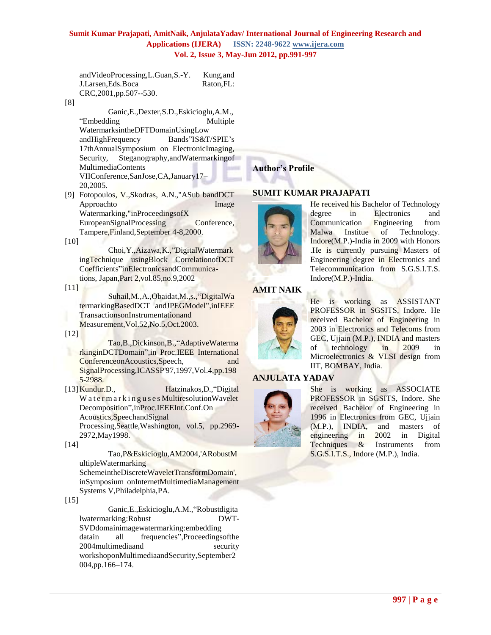andVideoProcessing,L.Guan,S.-Y. Kung,and J.Larsen,Eds.Boca Raton,FL: CRC,2001,pp.507--530.

#### [8]

Ganic,E.,Dexter,S.D.,Eskicioglu,A.M., "Embedding Multiple WatermarksintheDFTDomainUsingLow andHighFrequency Bands"IS&T/SPIE"s 17thAnnualSymposium on ElectronicImaging, Security, Steganography,andWatermarkingof MultimediaContents VIIConference,SanJose,CA,January17– 20,2005.

[9] Fotopoulos, V.,Skodras, A.N.,"ASub bandDCT Approachto Image Watermarking,"inProceedingsofX EuropeanSignalProcessing Conference, Tampere,Finland,September 4-8,2000.

[10]

Choi,Y.,Aizawa,K.,"DigitalWatermark ingTechnique usingBlock CorrelationofDCT Coefficients"inElectronicsandCommunications, Japan,Part 2,vol.85,no.9,2002

 $[11]$ 

Suhail,M.,A.,Obaidat,M.,s.,"DigitalWa termarkingBasedDCT andJPEGModel",inIEEE TransactionsonInstrumentationand Measurement,Vol.52,No.5,Oct.2003.

[12]

Tao,B.,Dickinson,B.,"AdaptiveWaterma rkinginDCTDomain",in Proc.IEEE International ConferenceonAcoustics,Speech, and SignalProcessing,ICASSP'97,1997,Vol.4,pp.198 5-2988.

[13]Kundur.D., Hatzinakos,D.,"Digital Watermarkinguses Multiresolution Wavelet Decomposition",inProc.IEEEInt.Conf.On Acoustics,SpeechandSignal Processing,Seattle,Washington, vol.5, pp.2969- 2972,May1998.

[14]

Tao,P&Eskicioglu,AM2004,'ARobustM ultipleWatermarking

SchemeintheDiscreteWaveletTransformDomain', inSymposium onInternetMultimediaManagement Systems V,Philadelphia,PA.

[15]

Ganic,E.,Eskicioglu,A.M.,"Robustdigita lwatermarking:Robust DWT-SVDdomainimagewatermarking:embedding datain all frequencies",Proceedingsofthe 2004multimediaand security workshoponMultimediaandSecurity,September2 004,pp.166–174.

**Author's Profile**

### **SUMIT KUMAR PRAJAPATI**



He received his Bachelor of Technology degree in Electronics and Communication Engineering from Malwa Institue of Technology. Indore(M.P.)-India in 2009 with Honors .He is currently pursuing Masters of Engineering degree in Electronics and Telecommunication from S.G.S.I.T.S. Indore(M.P.)-India.

#### **AMIT NAIK**



He is working as ASSISTANT PROFESSOR in SGSITS, Indore. He received Bachelor of Engineering in 2003 in Electronics and Telecoms from GEC, Ujjain (M.P.), INDIA and masters of technology in 2009 in Microelectronics & VLSI design from IIT, BOMBAY, India.

# **ANJULATA YADAV**



She is working as ASSOCIATE PROFESSOR in SGSITS, Indore. She received Bachelor of Engineering in 1996 in Electronics from GEC, Ujjain (M.P.), INDIA, and masters of engineering in 2002 in Digital Techniques & Instruments from S.G.S.I.T.S., Indore (M.P.), India.